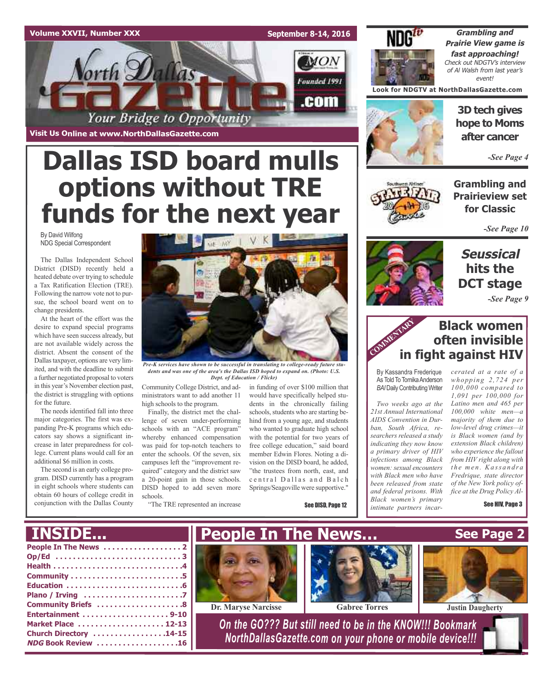## **Volume XXVII, Number XXX**

**Visit Us Online at www.NorthDallasGazette.com**

orth Dallas

**September 8-14, 2016**

**MON** 

Founded 1991

.com



**Grambling and Prairie View game is fast approaching!** Check out NDGTV's interview of Al Walsh from last year's event!

**Look for NDGTV at NorthDallasGazette.com**



**3D tech gives hope to Moms after cancer**

*-See Page 4*

**Grambling and Prairieview set for Classic**

*-See Page 10*

## **Seussical hits the DCT stage**

*-See Page 9*

## **Black women often invisible in fight against HIV** COMMENTARY IN

By Kassandra Frederique As Told To Tomika Anderson **BAI** Daily Contributing Writer

*Two weeks ago at the 21st Annual International AIDS Convention in Durban, South Africa, researchers released a study indicating they now know a primary driver of HIV infections among Black women: sexual encounters with Black men who have been released from state and federal prisons. With Black women's primary intimate partners incar-*

*cerated at a rate of a whopping 2,724 per 100,000 compared to 1,091 per 100,000 for Latino men and 465 per 100,000 white men—a majority of them due to low-level drug crimes—it is Black women (and by extension Black children) who experience the fallout from HIV right along with t h e me n . Ka ss a n d r a Fredrique, state director of the New York policy office at the Drug Policy Al-*

See HIV, Page 3



Your Bridge to Opportunity

By David Wilfong NDG Special Correspondent

The Dallas Independent School District (DISD) recently held a heated debate over trying to schedule a Tax Ratification Election (TRE). Following the narrow vote not to pursue, the school board went on to change presidents.

At the heart of the effort was the desire to expand special programs which have seen success already, but are not available widely across the district. Absent the consent of the Dallas taxpayer, options are very limited, and with the deadline to submit a further negotiated proposal to voters in this year's November election past, the district is struggling with options for the future.

The needs identified fall into three major categories. The first was expanding Pre-K programs which educators say shows a significant increase in later preparedness for college. Current plans would call for an additional \$6 million in costs.

The second is an early college program. DISD currently has a program in eight schools where students can obtain 60 hours of college credit in conjunction with the Dallas County



*Pre-K services have shown to be successful in translating to college-ready future students and was one of the area's the Dallas ISD hoped to expand on. (Photo: U.S. Dept. of Education / Flickr)*

Community College District, and administrators want to add another 11 high schools to the program.

Finally, the district met the challenge of seven under-performing schools with an "ACE program" whereby enhanced compensation was paid for top-notch teachers to enter the schools. Of the seven, six campuses left the "improvement required" category and the district saw a 20-point gain in those schools. DISD hoped to add seven more schools.

"The TRE represented an increase

in funding of over \$100 million that would have specifically helped students in the chronically failing schools, students who are starting behind from a young age, and students who wanted to graduate high school with the potential for two years of free college education," said board member Edwin Flores. Noting a division on the DISD board, he added, "the trustees from north, east, and central Dallas and Balch Springs/Seagoville were supportive."

See DISD, Page 12

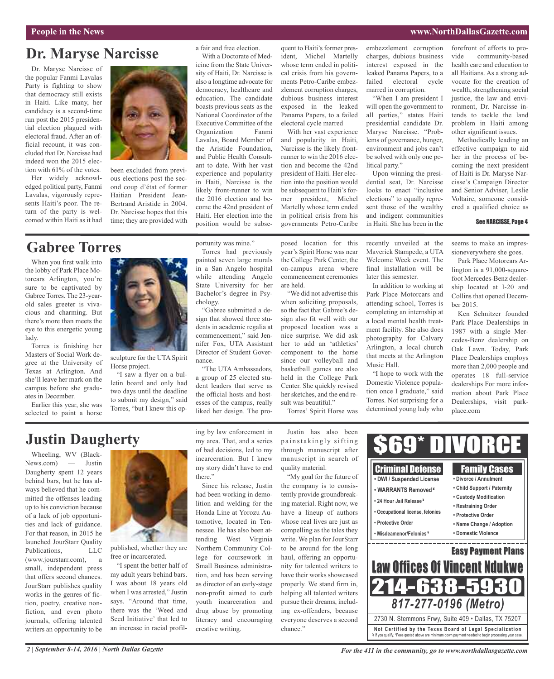### **People in the News www.NorthDallasGazette.com**

## **Dr. Maryse Narcisse**

Dr. Maryse Narcisse of the popular Fanmi Lavalas Party is fighting to show that democracy still exists in Haiti. Like many, her candidacy is a second-time run post the 2015 presidential election plagued with electoral fraud. After an official recount, it was concluded that Dr. Narcisse had indeed won the 2015 election with 61% of the votes.

Her widely acknowledged political party, Fanmi Lavalas, vigorously represents Haiti's poor. The return of the party is welcomed within Haiti as it had



been excluded from previous elections post the second coup d'état of former Haitian President Jean-Bertrand Aristide in 2004. Dr. Narcisse hopes that this time; they are provided with

## **Gabree Torres**

When you first walk into the lobby of Park Place Motorcars Arlington, you're sure to be captivated by Gabree Torres. The 23-yearold sales greeter is vivacious and charming. But there's more than meets the eye to this energetic young lady.

Torres is finishing her Masters of Social Work degree at the University of Texas at Arlington. And she'll leave her mark on the campus before she graduates in December.

Earlier this year, she was selected to paint a horse



sculpture for the UTA Spirit Horse project.

"I saw a flyer on a bulletin board and only had two days until the deadline to submit my design," said Torres, "but I knew this opa fair and free election. With a Doctorate of Med-

icine from the State University of Haiti, Dr. Narcisse is also a longtime advocate for democracy, healthcare and education. The candidate boasts previous seats as the National Coordinator of the Executive Committee of the Organization Fanmi Lavalas, Board Member of the Aristide Foundation, and Public Health Consultant to date. With her vast experience and popularity in Haiti, Narcisse is the likely front-runner to win the 2016 election and become the 42nd president of Haiti. Her election into the position would be subsequent to Haiti's former president, Michel Martelly whose term ended in political crisis from his governments Petro-Caribe embezzlement corruption charges, dubious business interest exposed in the leaked Panama Papers, to a failed electoral cycle marred

With her vast experience and popularity in Haiti, Narcisse is the likely frontrunner to win the 2016 election and become the 42nd president of Haiti. Her election into the position would be subsequent to Haiti's former president, Michel Martelly whose term ended in political crisis from his governments Petro-Caribe

embezzlement corruption charges, dubious business interest exposed in the leaked Panama Papers, to a failed electoral cycle marred in corruption.

"When I am president I will open the government to all parties," states Haiti presidential candidate Dr. Maryse Narcisse. "Problems of governance, hunger, environment and jobs can't be solved with only one political party."

Upon winning the presidential seat, Dr. Narcisse looks to enact "inclusive elections" to equally represent those of the wealthy and indigent communities in Haiti. She has been in the

recently unveiled at the Maverick Stampede, a UTA Welcome Week event. The final installation will be

In addition to working at Park Place Motorcars and attending school, Torres is completing an internship at a local mental health treatment facility. She also does photography for Calvary Arlington, a local church that meets at the Arlington

"I hope to work with the Domestic Violence population once I graduate," said Torres. Not surprising for a determined young lady who

later this semester.

Music Hall.

forefront of efforts to provide community-based health care and education to all Haitians. As a strong advocate for the creation of wealth, strengthening social justice, the law and environment, Dr. Narcisse intends to tackle the land problem in Haiti among other significant issues.

Methodically leading an effective campaign to aid her in the process of becoming the next president of Haiti is Dr. Maryse Narcisse's Campaign Director and Senior Adviser, Leslie Voltaire, someone considered a qualified choice as

### See NARCISSE, Page 4

seems to make an impressioneverywhere she goes.

Park Place Motorcars Arlington is a 91,000-squarefoot Mercedes-Benz dealership located at I-20 and Collins that opened December 2015.

Ken Schnitzer founded Park Place Dealerships in 1987 with a single Mercedes-Benz dealership on Oak Lawn. Today, Park Place Dealerships employs more than 2,000 people and operates 18 full-service dealerships For more information about Park Place Dealerships, visit parkplace.com

Torres had previously painted seven large murals in a San Angelo hospital while attending Angelo State University for her

portunity was mine."

Bachelor's degree in Psychology. "Gabree submitted a design that showed three students in academic regalia at commencement," said Jennifer Fox, UTA Assistant Director of Student Governance.

"The UTA Ambassadors, a group of 25 elected student leaders that serve as the official hosts and hostesses of the campus, really liked her design. The pro-

posed location for this year's Spirit Horse was near the College Park Center, the on-campus arena where commencement ceremonies are held.

"We did not advertise this when soliciting proposals, so the fact that Gabree's design also fit well with our proposed location was a nice surprise. We did ask her to add an 'athletics' component to the horse since our volleyball and basketball games are also held in the College Park Center. She quickly revised her sketches, and the end result was beautiful."

Torres' Spirit Horse was

## **Justin Daugherty**

Wheeling, WV (Black-News.com) — Justin Daugherty spent 12 years behind bars, but he has always believed that he committed the offenses leading up to his conviction because of a lack of job opportunities and lack of guidance. For that reason, in 2015 he launched JourStarr Quality Publications, LLC

(www.jourstarr.com), a small, independent press that offers second chances. JourStarr publishes quality works in the genres of fiction, poetry, creative nonfiction, and even photo journals, offering talented writers an opportunity to be



published, whether they are free or incarcerated.

"I spent the better half of my adult years behind bars. I was about 18 years old when I was arrested," Justin says. "Around that time, there was the 'Weed and Seed Initiative' that led to an increase in racial profiling by law enforcement in my area. That, and a series of bad decisions, led to my incarceration. But I knew my story didn't have to end there."

Since his release, Justin had been working in demolition and welding for the Honda Line at Yorozu Automotive, located in Tennessee. He has also been attending West Virginia Northern Community College for coursework in Small Business administration, and has been serving as director of an early-stage non-profit aimed to curb youth incarceration and drug abuse by promoting literacy and encouraging creative writing.

Justin has also been painstakingly sifting through manuscript after manuscript in search of quality material.

"My goal for the future of the company is to consistently provide groundbreaking material. Right now, we have a lineup of authors whose real lives are just as compelling as the tales they write. We plan for JourStarr to be around for the long haul, offering an opportunity for talented writers to have their works showcased properly. We stand firm in, helping all talented writers pursue their dreams, including ex-offenders, because everyone deserves a second chance."



*For the 411 in the community, go to www.northdallasgazette.com*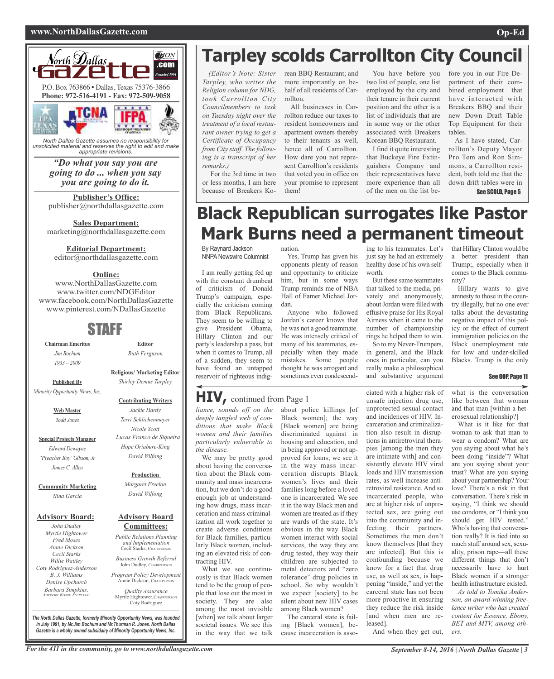### **www.NorthDallasGazette.com Op-Ed**



*North Dallas Gazette assumes no responsibility for unsolicited material and reserves the right to edit and make appropriate revisions.*

## *"Do what you say you are going to do ... when you say you are going to do it.*

**Publisher's Office:** publisher@northdallasgazette.com

**Sales Department:** marketing@northdallasgazette.com

**Editorial Department:**

editor@northdallasgazette.com

## **Online:**

www.NorthDallasGazette.com www.twitter.com/NDGEditor www.facebook.com/NorthDallasGazette www.pinterest.com/NDallasGazette

## STAFF

**Chairman Emeritus** *Jim Bochum 1933 – 2009*

**Published By**

*Minority Opportunity News, Inc.*

**Web Master** *Todd Jones*

**Special Projects Manager** *Edward Dewayne "Preacher Boy"Gibson, Jr. James C. Allen*

**Community Marketing** *Nina Garcia*

## **Advisory Board:**

*John Dudley Myrtle Hightower Fred Moses Annie Dickson Cecil Starks Willie Wattley Coty Rodriguez-Anderson B. J. Williams Denise Upchurch Barbara Simpkins, ADVISORY BOARD SECRETARY*

**Religious/ Marketing Editor** *Shirley Demus Tarpley*

**Editor** *Ruth Ferguson*

### **Contributing Writers**

*Jackie Hardy Terri Schlichenmeyer Nicole Scott Lucas Franco de Siqueira Hope Oriabure-King David Wilfong*

### **Production**

*Margaret Freelon David Wilfong*

### **Advisory Board Committees:**

*Public Relations Planning and Implementation* Cecil Starks, CHAIRPERSON

*Business Growth Referral* John Dudley, CHAIRPERSON

*Program Policy Development* Annie Dickson, CHAIRPERS

*Quality Assurance* Myrtle Hightower, CHAIRPERSON Coty Rodriguez

**Tarpley scolds Carrollton City Council**

*(Editor's Note: Sister Tarpley, who writes the Religion column for NDG, took Carrollton City Councilmembers to task on Tuesday night over the treatment of a local restaurant owner trying to get a Certificate of Occupancy from City staff. The following is a transcript of her remarks.)*

For the 3rd time in two or less months, I am here because of Breakers Korean BBQ Restaurant; and more importantly on behalf of all residents of Carrollton.

All businesses in Carrollton reduce our taxes to resident homeowners and apartment owners thereby to their tenants as well, hence all of Carrollton. How dare you not represent Carrollton's residents that voted you in office on your promise to represent them!

Yes, Trump has given his opponents plenty of reason and opportunity to criticize him, but in some ways Trump reminds me of NBA Hall of Famer Michael Jor-

Anyone who followed Jordan's career knows that he was not a good teammate. He was intensely critical of many of his teammates, especially when they made mistakes. Some people thought he was arrogant and sometimes even condescend-

nation.

dan.

You have before you two list of people, one list employed by the city and their tenure in their current position and the other is a list of individuals that are in some way or the other associated with Breakers Korean BBQ Restaurant.

I find it quite interesting that Buckeye Fire Extinguishers Company and their representatives have more experience than all of the men on the list before you in our Fire Department of their combined employment that have interacted with Breakers BBQ and their new Down Draft Table Top Equipment for their tables.

As I have stated, Carrollton's Deputy Mayor Pro Tem and Ron Simmons, a Carrollton resident, both told me that the down drift tables were in See SCOLD, Page 5

## **Black Republican surrogates like Pastor Mark Burns need a permanent timeout**

By Raynard Jackson NNPA Newswire Columnist

I am really getting fed up with the constant drumbeat of criticism of Donald Trump's campaign, especially the criticism coming from Black Republicans. They seem to be willing to give President Obama, Hillary Clinton and our party's leadership a pass, but when it comes to Trump, all of a sudden, they seem to have found an untapped reservoir of righteous indig-

## **HIV,** continued from Page <sup>1</sup>

*liance, sounds off on the deeply tangled web of conditions that make Black women and their families particularly vulnerable to the disease.*

We may be pretty good about having the conversation about the Black community and mass incarceration, but we don't do a good enough job at understanding how drugs, mass incarceration and mass criminalization all work together to create adverse conditions for Black families, particularly Black women, including an elevated risk of contracting HIV.

What we see continuously is that Black women tend to be the group of people that lose out the most in society. They are also among the most invisible [when] we talk about larger societal issues. We see this in the way that we talk

about police killings [of Black women]; the way [Black women] are being discriminated against in housing and education, and in being approved or not approved for loans; we see it in the way mass incarceration disrupts Black women's lives and their families long before a loved one is incarcerated. We see it in the way Black men and women are treated as if they are wards of the state. It's obvious in the way Black women interact with social services, the way they are drug tested, they way their children are subjected to metal detectors and "zero tolerance" drug policies in school. So why wouldn't we expect [society] to be silent about new HIV cases among Black women?

The carceral state is failing [Black women], because incarceration is asso-

ing to his teammates. Let's just say he had an extremely healthy dose of his own selfworth.

But these same teammates that talked to the media, privately and anonymously, about Jordan were filled with effusive praise for His Royal Airness when it came to the number of championship rings he helped them to win. So to my Never-Trumpers,

in general, and the Black ones in particular, can you really make a philosophical and substantive argument

ciated with a higher risk of unsafe injection drug use, unprotected sexual contact and incidences of HIV. Incarceration and criminalization also result in disruptions in antiretroviral therapies [among the men they are intimate with] and consistently elevate HIV viral loads and HIV transmission rates, as well increase antiretroviral resistance. And so incarcerated people, who are at higher risk of unprotected sex, are going out into the community and infecting their partners. Sometimes the men don't know themselves [that they are infected]. But this is confounding because we know for a fact that drug use, as well as sex, is happening "inside," and yet the carceral state has not been more proactive in ensuring they reduce the risk inside [and when men are released].

And when they get out,

that Hillary Clinton would be a better president than Trump;, especially when it comes to the Black community?

Hillary wants to give amnesty to those in the country illegally, but no one ever talks about the devastating negative impact of this policy or the effect of current immigration policies on the Black unemployment rate for low and under-skilled Blacks. Trump is the only

### See GOP, Page 11

what is the conversation like between that woman and that man [within a heterosexual relationship?]

What is it like for that woman to ask that man to wear a condom? What are you saying about what he's been doing "inside"? What are you saying about your trust? What are you saying about your partnership?Your love? There's a risk in that conversation. There's risk in saying, "I think we should use condoms, or "I think you should get HIV tested." Who's having that conversation really? It is tied into so much stuff around sex, sexuality, prison rape—all these different things that don't necessarily have to hurt Black women if a stronger health infrastructure existed.

*As told to Tomika Anderson, an award-winning freelance writer who has created content for Essence, Ebony, BET and MTV, among others.*

*The North Dallas Gazette, formerly Minority Opportunity News, was founded in July 1991, by Mr.Jim Bochum and Mr.Thurman R. Jones. North Dallas Gazette is a wholly owned subsidairy of Minority Opportunity News, Inc.*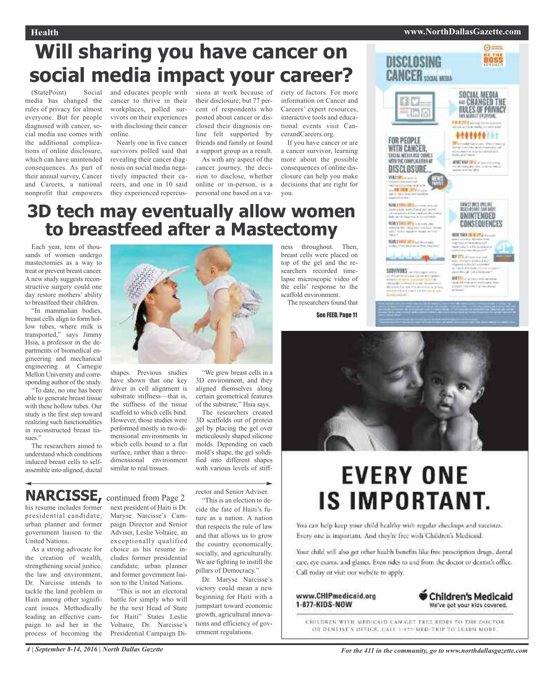## **Health www.NorthDallasGazette.com**

**Chours** BOSS

# **Will sharing you have cancer on social media impact your career?**

(StatePoint) Social media has changed the rules of privacy for almost everyone. But for people diagnosed with cancer, social media use comes with the additional complications of online disclosure, which can have unintended consequences. As part of their annual survey, Cancer and Careers, a national nonprofit that empowers

and educates people with cancer to thrive in their workplaces, polled survivors on their experiences with disclosing their cancer online.

Nearly one in five cancer survivors polled said that revealing their cancer diagnosis on social media negatively impacted their careers, and one in 10 said they experienced repercussions at work because of their disclosure; but 77 percent of respondents who posted about cancer or disclosed their diagnosis online felt supported by friends and family or found

a support group as a result. As with any aspect of the cancer journey, the decision to disclose, whether online or in-person, is a personal one based on a variety of factors. For more information on Cancer and Careers' expert resources, interactive tools and educational events visit CancerandCareers.org.

If you have cancer or are a cancer survivor, learning more about the possible consequences of online disclosure can help you make decisions that are right for you.

ness throughout. Then, breast cells were placed on top of the gel and the researchers recorded timelapse microscopic video of the cells' response to the scaffold environment.

The researchers found that

See FEED, Page 11

## **3D tech may eventually allow women to breastfeed after a Mastectomy**

Each year, tens of thousands of women undergo mastectomies as a way to treat or prevent breast cancer. A new study suggests reconstructive surgery could one day restore mothers' ability to breastfeed their children.

"In mammalian bodies, breast cells align to form hollow tubes, where milk is transported," says Jimmy Hsia, a professor in the departments of biomedical engineering and mechanical engineering at Carnegie Mellon University and corresponding author of the study.

"To date, no one has been able to generate breast tissue with these hollow tubes. Our study is the first step toward realizing such functionalities in reconstructed breast tissues."

The researchers aimed to understand which conditions induced breast cells to selfassemble into aligned, ductal



shapes. Previous studies have shown that one key driver in cell alignment is substrate stiffness—that is, the stiffness of the tissue scaffold to which cells bind. However, those studies were performed mostly in two-dimensional environments in which cells bound to a flat surface, rather than a threedimensional environment similar to real tissues.

"We grew breast cells in a 3D environment, and they aligned themselves along certain geometrical features of the substrate," Hsia says.

The researchers created 3D scaffolds out of protein gel by placing the gel over meticulously shaped silicone molds. Depending on each mold's shape, the gel solidified into different shapes with various levels of stiff-

## **NARCISSE,** continued from Page <sup>2</sup>

his resume includes former presidential candidate, urban planner and former government liaison to the United Nations.

As a strong advocate for the creation of wealth, strengthening social justice, the law and environment, Dr. Narcisse intends to tackle the land problem in Haiti among other significant issues. Methodically leading an effective campaign to aid her in the process of becoming the

next president of Haiti is Dr. Maryse Narcisse's Campaign Director and Senior Adviser, Leslie Voltaire, an exceptionally qualified choice as his resume includes former presidential candidate, urban planner and former government liaison to the United Nations.

"This is not an electoral battle for simply who will be the next Head of State for Haiti" States Leslie Voltaire, Dr. Narcisse's Presidential Campaign Director and Senior Adviser. "This is an election to de-

cide the fate of Haiti's future as a nation. A nation that respects the rule of law and that allows us to grow the country economically, socially, and agriculturally. We are fighting to instill the pillars of Democracy."

Dr. Maryse Narcisse's victory could mean a new beginning for Haiti with a jumpstart toward economic growth, agricultural innovations and efficiency of government regulations.



DISCLOSING



# **EVERY ONE IS IMPORTANT.**

You can help keep your child healthy with regular checkups and vaccines. Every one is important. And they're free with Children's Medicaid.

Your child will also get other health benefits like free prescription drugs, dental care, eye exams, and glasses. Even rides to and from the doctor or dentist's office. Call today or visit our website to apply.

www.CHIPmedicaid.org 1-877-KIDS-NOW



CHILDREN WITH MEDICAIN CAN GET FREE RIDES TO THE DOCTOR DR DENTIST'S OFFICE CALL 1-877-MED-TRIP TO LEARN MOBE.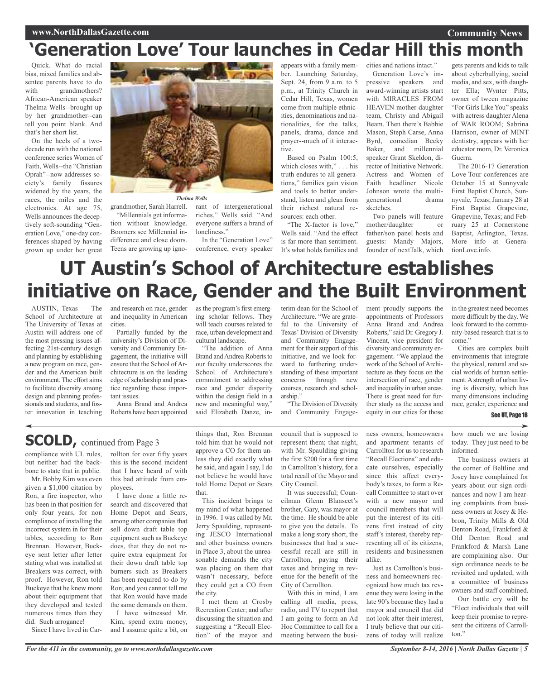## **www.NorthDallasGazette.com**

# **'Generation Love' Tour launches in Cedar Hill this month**

Quick. What do racial bias, mixed families and absentee parents have to do with grandmothers? African-American speaker Thelma Wells--brought up by her grandmother--can tell you point blank. And that's her short list.

On the heels of a twodecade run with the national conference series Women of Faith, Wells--the "Christian Oprah"--now addresses society's family fissures widened by the years, the races, the miles and the electronics. At age 75, Wells announces the deceptively soft-sounding "Generation Love," one-day conferences shaped by having grown up under her great



*Thelma Wells*

"Millennials get information without knowledge. Boomers see Millennial indifference and close doors. Teens are growing up igno-

grandmother, Sarah Harrell. rant of intergenerational riches," Wells said. "And everyone suffers a brand of loneliness."

In the "Generation Love" conference, every speaker

appears with a family member. Launching Saturday, Sept. 24, from 9 a.m. to 5 p.m., at Trinity Church in Cedar Hill, Texas, women come from multiple ethnicities, denominations and nationalities, for the talks, panels, drama, dance and prayer--much of it interactive.

Based on Psalm 100:5, which closes with," . . . his truth endures to all generations," families gain vision and tools to better understand, listen and glean from their richest natural resources: each other.

"The X-factor is love," Wells said. "And the effect is far more than sentiment. It's what holds families and cities and nations intact." Generation Love's impressive speakers and award-winning artists start with MIRACLES FROM HEAVEN mother-daughter team, Christy and Abigail Beam. Then there's Babbie Mason, Steph Carse, Anna Byrd, comedian Becky Baker, and millennial speaker Grant Skeldon, director of Initiative Network. Actress and Women of Faith headliner Nicole Johnson wrote the multigenerational drama sketches.

Two panels will feature mother/daughter or father/son panel hosts and guests: Mandy Majors, founder of nextTalk, which

gets parents and kids to talk about cyberbullying, social media, and sex, with daughter Ella; Wynter Pitts, owner of tween magazine "For Girls Like You" speaks with actress daughter Alena of WAR ROOM; Sabrina Harrison, owner of MINT dentistry, appears with her educator mom, Dr. Veronica Guerra.

**Community News**

The 2016-17 Generation Love Tour conferences are October 15 at Sunnyvale First Baptist Church, Sunnyvale, Texas; January 28 at First Baptist Grapevine, Grapevine, Texas; and February 25 at Cornerstone Baptist, Arlington, Texas. More info at GenerationLove.info.

# **UT Austin's School of Architecture establishes initiative on Race, Gender and the Built Environment**

AUSTIN, Texas — The School of Architecture at The University of Texas at Austin will address one of the most pressing issues affecting 21st-century design and planning by establishing a new program on race, gender and the American built environment. The effort aims to facilitate diversity among design and planning professionals and students, and foster innovation in teaching

and research on race, gender and inequality in American cities.

Partially funded by the university's Division of Diversity and Community Engagement, the initiative will ensure that the School of Architecture is on the leading edge of scholarship and practice regarding these important issues.

Anna Brand and Andrea Roberts have been appointed

as the program's first emerging scholar fellows. They will teach courses related to race, urban development and cultural landscape.

"The addition of Anna Brand and Andrea Roberts to our faculty underscores the School of Architecture's commitment to addressing race and gender disparity within the design field in a new and meaningful way," said Elizabeth Danze, interim dean for the School of Architecture. "We are grateful to the University of Texas' Division of Diversity and Community Engagement for their support of this initiative, and we look forward to furthering understanding of these important concerns through new courses, research and scholarship."

"The Division of Diversity and Community Engagement proudly supports the appointments of Professors Anna Brand and Andrea Roberts," said Dr. Gregory J. Vincent, vice president for diversity and community engagement. "We applaud the work of the School of Architecture as they focus on the intersection of race, gender and inequality in urban areas. There is great need for further study as the access and equity in our cities for those

in the greatest need becomes more difficult by the day. We look forward to the community-based research that is to come."

Cities are complex built environments that integrate the physical, natural and social worlds of human settlement.Astrength of urban living is diversity, which has many dimensions including race, gender, experience and

## See UT, Page 16

**SCOLD**, continued from Page 3

compliance with UL rules, but neither had the backbone to state that in public.

Mr. Bobby Kim was even given a \$1,000 citation by Ron, a fire inspector, who has been in that position for only four years, for non compliance of installing the incorrect system in for their tables, according to Ron Brennan. However, Buckeye sent letter after letter stating what was installed at Breakers was correct, with proof. However, Ron told Buckeye that he knew more about their equipment that they developed and tested numerous times than they did. Such arrogance!

Since I have lived in Car-

rollton for over fifty years this is the second incident that I have heard of with this bad attitude from employees.

I have done a little research and discovered that Home Depot and Sears, among other companies that sell down draft table top equipment such as Buckeye does, that they do not require extra equipment for their down draft table top burners such as Breakers has been required to do by Ron; and you cannot tell me that Ron would have made the same demands on them.

I have witnessed Mr. Kim, spend extra money, and I assume quite a bit, on things that, Ron Brennan told him that he would not approve a CO for them unless they did exactly what he said, and again I say, I do not believe he would have told Home Depot or Sears that.

This incident brings to my mind of what happened in 1996. I was called by Mr. Jerry Spaulding, representing JESCO International and other business owners in Place 3, about the unreasonable demands the city was placing on them that wasn't necessary, before they could get a CO from the city.

I met them at Crosby Recreation Center; and after discussing the situation and suggesting a "Recall Election" of the mayor and

council that is supposed to represent them; that night, with Mr. Spaulding giving the first \$200 for a first time in Carrollton's history, for a total recall of the Mayor and City Council.

It was successful; Councilman Glenn Blanscet's brother, Gary, was mayor at the time. He should be able to give you the details. To make a long story short, the businesses that had a successful recall are still in Carrollton, paying their taxes and bringing in revenue for the benefit of the City of Carrollton.

With this in mind, I am calling all media, press, radio, and TV to report that I am going to form an Ad Hoc Committee to call for a meeting between the business owners, homeowners and apartment tenants of Carrollton for us to research "Recall Elections" and educate ourselves, especially since this affect everybody's taxes, to form a Recall Committee to start over with a new mayor and council members that will put the interest of its citizens first instead of city staff's interest, thereby representing all of its citizens, residents and businessmen alike.

Just as Carrollton's business and homeowners recognized how much tax revenue they were losing in the late 90's because they had a mayor and council that did not look after their interest, I truly believe that our citizens of today will realize

how much we are losing today. They just need to be informed.

The business owners at the corner of Beltline and Josey have complained for years about our sign ordinances and now I am hearing complaints from business owners at Josey & Hebron, Trinity Mills & Old Denton Road, Frankford & Old Denton Road and Frankford & Marsh Lane are complaining also. Our sign ordinance needs to be revisited and updated, with a committee of business owners and staff combined.

Our battle cry will be "Elect individuals that will keep their promise to represent the citizens of Carrollton."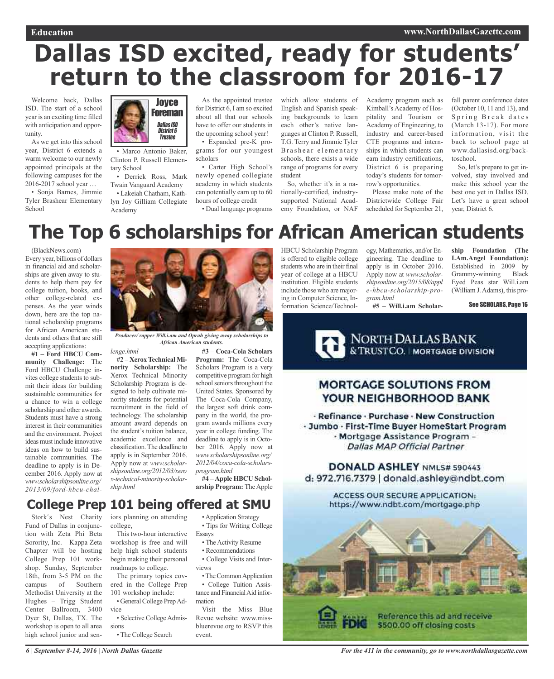# **Dallas ISD excited, ready for students' return to the classroom for 2016-17**

Welcome back, Dallas ISD. The start of a school year is an exciting time filled with anticipation and opportunity.

As we get into this school year, District 6 extends a warm welcome to our newly appointed principals at the following campuses for the 2016-2017 school year …

• Sonja Barnes, Jimmie Tyler Brashear Elementary School



• Marco Antonio Baker, Clinton P. Russell Elementary School

• Derrick Ross, Mark Twain Vanguard Academy

• Lakeiah Chatham, Kathlyn Joy Gilliam Collegiate Academy

As the appointed trustee for District 6, I am so excited about all that our schools have to offer our students in the upcoming school year!

• Expanded pre-K programs for our youngest scholars

• Carter High School's newly opened collegiate academy in which students can potentially earn up to 60 hours of college credit

• Dual language programs

which allow students of English and Spanish speaking backgrounds to learn each other's native languages at Clinton P. Russell, T.G. Terry and Jimmie Tyler Brashear elementary schools, there exists a wide range of programs for every student

So, whether it's in a nationally-certified, industrysupported National Academy Foundation, or NAF

Academy program such as Kimball's Academy of Hospitality and Tourism or Academy of Engineering, to industry and career-based CTE programs and internships in which students can earn industry certifications, District 6 is preparing today's students for tomorrow's opportunities.

Please make note of the Districtwide College Fair scheduled for September 21, fall parent conference dates (October 10, 11 and 13), and Spring Break dates (March 13-17). For more information, visit the back to school page at www.dallasisd.org/backtoschool.

So, let's prepare to get involved, stay involved and make this school year the best one yet in Dallas ISD. Let's have a great school year, District 6.

# **The Top 6 scholarships for African American students**

(BlackNews.com) — Every year, billions of dollars in financial aid and scholarships are given away to students to help them pay for college tuition, books, and other college-related expenses. As the year winds down, here are the top national scholarship programs for African American students and others that are still accepting applications:

**#1 – Ford HBCU Community Challenge:** The Ford HBCU Challenge invites college students to submit their ideas for building sustainable communities for a chance to win a college scholarship and other awards. Students must have a strong interest in their communities and the environment. Project ideas must include innovative ideas on how to build sustainable communities. The deadline to apply is in December 2016. Apply now at *www.scholarshipsonline.org/ 2013/09/ford-hbcu-chal-*



*Producer/ rapper Will.i.am and Oprah giving away scholarships to African American students.*

*lenge.html*

**#2 – XeroxTechnical Minority Scholarship:** The Xerox Technical Minority Scholarship Program is designed to help cultivate minority students for potential recruitment in the field of technology. The scholarship amount award depends on the student's tuition balance, academic excellence and classification.The deadline to apply is in September 2016. Apply now at *www.scholarshipsonline.org/2012/03/xero x-technical-minority-scholarship.html*

**#3 – Coca-Cola Scholars Program:** The Coca-Cola Scholars Program is a very competitive program for high school seniors throughout the United States. Sponsored by The Coca-Cola Company, the largest soft drink company in the world, the program awards millions every year in college funding. The deadline to apply is in October 2016. Apply now at *www.scholarshipsonline.org/ 2012/04/coca-cola-scholarsprogram.html*

**#4 –Apple HBCU Scholarship Program:** TheApple

## **College Prep 101 being offered at SMU**

Stork's Nest Charity Fund of Dallas in conjunction with Zeta Phi Beta Sorority, Inc. – Kappa Zeta Chapter will be hosting College Prep 101 workshop. Sunday, September 18th, from 3-5 PM on the campus of Southern Methodist University at the Hughes – Trigg Student Center Ballroom, 3400 Dyer St, Dallas, TX. The workshop is open to all area high school junior and sen-

iors planning on attending college,

This two-hour interactive workshop is free and will help high school students begin making their personal roadmaps to college.

The primary topics covered in the College Prep 101 workshop include: • General College Prep Ad-

vice

• Selective College Admissions

• The College Search

•Application Strategy • Tips for Writing College Essays

- The Activity Resume
- Recommendations

• College Visits and Interviews

• The Common Application • College Tuition Assistance and Financial Aid information

Visit the Miss Blue Revue website: www.missbluerevue.org to RSVP this event.

HBCU Scholarship Program is offered to eligible college students who are in their final year of college at a HBCU institution. Eligible students include those who are majoring in Computer Science, Information Science/Technol-

ogy, Mathematics, and/or Engineering. The deadline to apply is in October 2016. Apply now at *www.scholarshipsonline.org/2015/08/appl e-hbcu-scholarship-program.html* **#5 – Will.i.am Scholar-**

**ship Foundation (The I.Am.Angel Foundation):** Established in 2009 by Grammy-winning Black Eyed Peas star Will.i.am (William J.Adams), this pro-

See SCHOLARS, Page 16



## **MORTGAGE SOLUTIONS FROM** YOUR NEIGHBORHOOD BANK

· Refinance · Purchase · New Construction · Jumbo · First-Time Buyer HomeStart Program - Mortgage Assistance Program -**Dallas MAP Official Partner** 

DONALD ASHLEY NMLS# 590443 d: 972.716.7379 | donald.ashley@ndbt.com

> ACCESS OUR SECURE APPLICATION: https://www.ndbt.com/mortgage.php



*For the 411 in the community, go to www.northdallasgazette.com*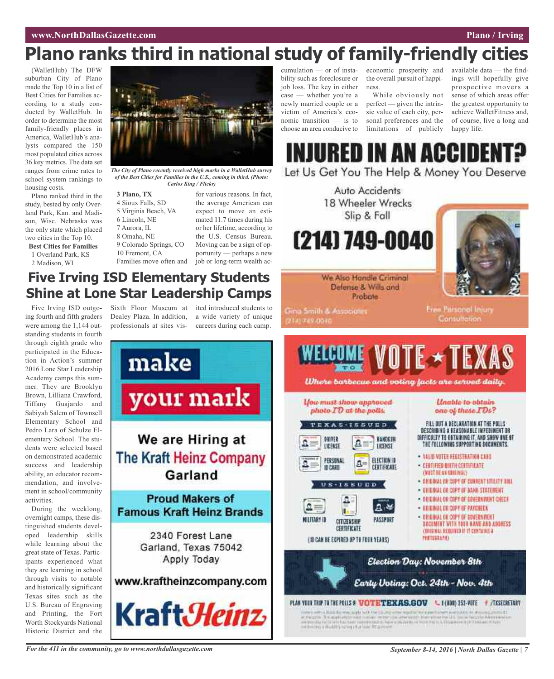## **Plano ranks third in national study of family-friendly cities**

(WalletHub) The DFW suburban City of Plano made the Top 10 in a list of Best Cities for Families according to a study conducted by WalletHub. In order to determine the most family-friendly places in America, WalletHub's analysts compared the 150 most populated cities across 36 key metrics. The data set ranges from crime rates to school system rankings to housing costs.

Plano ranked third in the study, bested by only Overland Park, Kan. and Madison, Wisc. Nebraska was the only state which placed two cities in the Top 10.

**Best Cities for Families** 1 Overland Park, KS

2 Madison, WI

 **Plano, TX** Sioux Falls, SD Virginia Beach, VA Lincoln, NE Aurora, IL Omaha, NE Colorado Springs, CO Fremont, CA Families move often and *Carlos King / Flickr)*

for various reasons. In fact, the average American can expect to move an estimated 11.7 times during his or her lifetime, according to the U.S. Census Bureau. Moving can be a sign of opportunity — perhaps a new job or long-term wealth ac-

*The City of Plano recently received high marks in a WalletHub survey of the Best Cities for Families in the U.S., coming in third. (Photo:*

## **Five Irving ISD Elementary Students Shine at Lone Star Leadership Camps**

Five Irving ISD outgoing fourth and fifth graders were among the 1,144 outstanding students in fourth through eighth grade who participated in the Education in Action's summer 2016 Lone Star Leadership Academy camps this summer. They are Brooklyn Brown, Lilliana Crawford, Tiffany Guajardo and Sabiyah Salem of Townsell Elementary School and Pedro Lara of Schulze Elementary School. The students were selected based on demonstrated academic success and leadership ability, an educator recommendation, and involvement in school/community activities.

During the weeklong, overnight camps, these distinguished students developed leadership skills while learning about the great state of Texas. Participants experienced what they are learning in school through visits to notable and historically significant Texas sites such as the U.S. Bureau of Engraving and Printing, the Fort Worth Stockyards National Historic District and the

Sixth Floor Museum at ited introduced students to Dealey Plaza. In addition, a wide variety of unique professionals at sites vis-careers during each camp.



cumulation — or of instability such as foreclosure or job loss. The key in either case — whether you're a newly married couple or a victim of America's economic transition — is to choose an area conducive to

economic prosperity and the overall pursuit of happiness. While obviously not

perfect — given the intrinsic value of each city, personal preferences and the limitations of publicly

available data — the findings will hopefully give prospective movers a sense of which areas offer the greatest opportunity to achieve WalletFitness and, of course, live a long and happy life.



Let Us Get You The Help & Money You Deserve

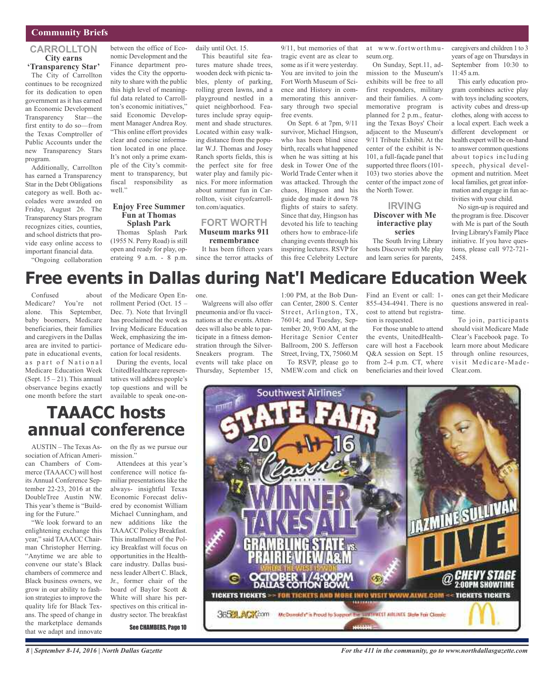## **Community Briefs**

## **CARROLLTON City earns 'Transparency Star'**

The City of Carrollton continues to be recognized for its dedication to open government as it has earned an Economic Development Transparency Star—the first entity to do so—from the Texas Comptroller of Public Accounts under the new Transparency Stars program.

Additionally, Carrollton has earned a Transparency Star in the Debt Obligations category as well. Both accolades were awarded on Friday, August 26. The Transparency Stars program recognizes cities, counties, and school districts that provide easy online access to important financial data.

"Ongoing collaboration

between the office of Economic Development and the Finance department provides the City the opportunity to share with the public this high level of meaningful data related to Carrollton's economic initiatives," said Economic Development Manager Andrea Roy. "This online effort provides clear and concise information located in one place. It's not only a prime example of the City's commitment to transparency, but fiscal responsibility as well."

## **Enjoy Free Summer Fun at Thomas**

**Splash Park** Thomas Splash Park (1955 N. Perry Road) is still open and ready for play, operateing 9 a.m. - 8 p.m. daily until Oct. 15.

This beautiful site features mature shade trees, wooden deck with picnic tables, plenty of parking, rolling green lawns, and a playground nestled in a quiet neighborhood. Features include spray equipment and shade structures. Located within easy walking distance from the popular W.J. Thomas and Josey Ranch sports fields, this is the perfect site for free water play and family picnics. For more information about summer fun in Carrollton, visit cityofcarrollton.com/aquatics.

### **FORT WORTH Museum marks 911 remembrance**

It has been fifteen years since the terror attacks of 9/11, but memories of that tragic event are as clear to some as if it were yesterday. You are invited to join the Fort Worth Museum of Science and History in commemorating this anniversary through two special free events.

On Sept. 6 at 7pm, 9/11 survivor, Michael Hingson, who has been blind since birth, recalls what happened when he was sitting at his desk in Tower One of the World Trade Center when it was attacked. Through the chaos, Hingson and his guide dog made it down 78 flights of stairs to safety. Since that day, Hingson has devoted his life to teaching others how to embrace-life changing events through his inspiring lectures. RSVP for this free Celebrity Lecture at www.fortworthmuseum.org.

On Sunday, Sept.11, admission to the Museum's exhibits will be free to all first responders, military and their families. A commemorative program is planned for 2 p.m., featuring the Texas Boys' Choir adjacent to the Museum's 9/11 Tribute Exhibit. At the center of the exhibit is N-101, a full-façade panel that supported three floors (101- 103) two stories above the center of the impact zone of the North Tower.

### **IRVING Discover with Me interactive play series**

The South Irving Library hosts Discover with Me play and learn series for parents, caregivers and children 1 to 3 years of age on Thursdays in September from 10:30 to 11:45 a.m.

This early education program combines active play with toys including scooters, activity cubes and dress-up clothes, along with access to a local expert. Each week a different development or health expert will be on-hand to answer common questions about topics including speech, physical development and nutrition. Meet local families, get great information and engage in fun activities with your child.

No sign-up is required and the program is free. Discover with Me is part of the South Irving Library's Family Place initiative. If you have questions, please call 972-721- 2458.

# **Free events in Dallas during Nat'l Medicare Education Week**

Confused about Medicare? You're not alone. This September, baby boomers, Medicare beneficiaries, their families and caregivers in the Dallas area are invited to participate in educational events, as part of National Medicare Education Week (Sept.  $15 - 21$ ). This annual observance begins exactly one month before the start of the Medicare Open Enrollment Period (Oct. 15 – Dec. 7). Note that Irvingll has proclaimed the week as Irving Medicare Education Week, emphasizing the importance of Medicare education for local residents.

During the events, local UnitedHealthcare representatives will address people's top questions and will be available to speak one-onone.

Walgreens will also offer pneumonia and/or flu vaccinations at the events. Attendees will also be able to participate in a fitness demonstration through the Silver-Sneakers program. The events will take place on Thursday, September 15,

1:00 PM, at the Bob Duncan Center, 2800 S. Center Street, Arlington, TX, 76014; and Tuesday, September 20, 9:00 AM, at the Heritage Senior Center Ballroom, 200 S. Jefferson Street, Irving, TX, 75060.M To RSVP, please go to NMEW.com and click on

Find an Event or call: 1- 855-434-4941. There is no cost to attend but registration is requested.

For those unable to attend the events, UnitedHealthcare will host a Facebook Q&A session on Sept. 15 from 2-4 p.m. CT, where beneficiaries and their loved ones can get their Medicare questions answered in realtime.

To join, participants should visit Medicare Made Clear's Facebook page. To learn more about Medicare through online resources, visit Medicare-Made-Clear.com.



## **TAAACC hosts annual conference**

AUSTIN – The Texas Association of African American Chambers of Commerce (TAAACC) will host its Annual Conference September 22-23, 2016 at the DoubleTree Austin NW. This year's theme is "Building for the Future."

"We look forward to an enlightening exchange this year," said TAAACC Chairman Christopher Herring. "Anytime we are able to convene our state's Black chambers of commerce and Black business owners, we grow in our ability to fashion strategies to improve the quality life for Black Texans. The speed of change in the marketplace demands that we adapt and innovate

on the fly as we pursue our mission."

Attendees at this year's conference will notice familiar presentations like the always- insightful Texas Economic Forecast delivered by economist William Michael Cunningham, and new additions like the TAAACC Policy Breakfast. This installment of the Policy Breakfast will focus on opportunities in the Healthcare industry. Dallas business leader Albert C. Black, Jr., former chair of the board of Baylor Scott & White will share his perspectives on this critical industry sector. The breakfast

See CHAMBERS, Page 10

*For the 411 in the community, go to www.northdallasgazette.com*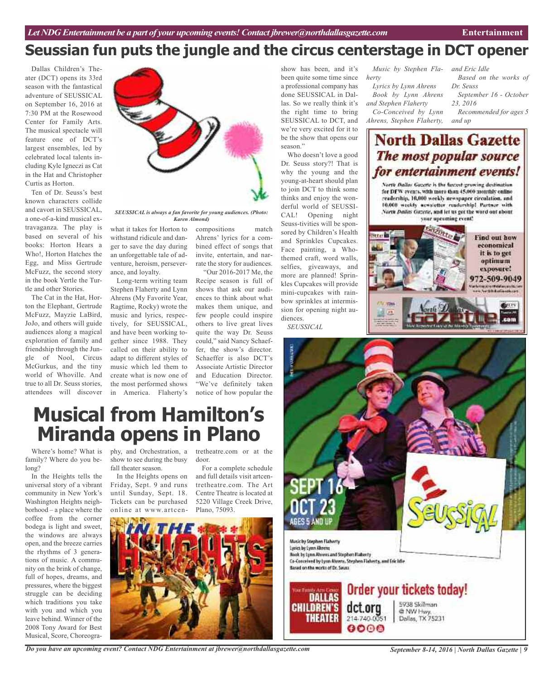## **Seussian fun puts the jungle and the circus centerstage in DCT opener**

Dallas Children's Theater (DCT) opens its 33rd season with the fantastical adventure of SEUSSICAL on September 16, 2016 at 7:30 PM at the Rosewood Center for Family Arts. The musical spectacle will feature one of DCT's largest ensembles, led by celebrated local talents including Kyle Igneczi as Cat in the Hat and Christopher Curtis as Horton.

Ten of Dr. Seuss's best known characters collide and cavort in SEUSSICAL, a one-of-a-kind musical extravaganza. The play is based on several of his books: Horton Hears a Who!, Horton Hatches the Egg, and Miss Gertrude McFuzz, the second story in the book Yertle the Turtle and other Stories.

The Cat in the Hat, Horton the Elephant, Gertrude McFuzz, Mayzie LaBird, JoJo, and others will guide audiences along a magical exploration of family and friendship through the Jungle of Nool, Circus McGurkus, and the tiny world of Whoville. And true to all Dr. Seuss stories, attendees will discover



*SEUSSICAL is always a fan favorite for young audiences. (Photo: Karen Almond)*

what it takes for Horton to withstand ridicule and danger to save the day during an unforgettable tale of adventure, heroism, perseverance, and loyalty.

Long-term writing team Stephen Flaherty and Lynn Ahrens (My Favorite Year, Ragtime, Rocky) wrote the music and lyrics, respectively, for SEUSSICAL, and have been working together since 1988. They called on their ability to adapt to different styles of music which led them to create what is now one of the most performed shows in America. Flaherty's

compositions match Ahrens' lyrics for a combined effect of songs that invite, entertain, and narrate the story for audiences.

"Our 2016-2017 Me, the Recipe season is full of shows that ask our audiences to think about what makes them unique, and few people could inspire others to live great lives quite the way Dr. Seuss could," said Nancy Schaeffer, the show's director. Schaeffer is also DCT's Associate Artistic Director and Education Director. "We've definitely taken notice of how popular the

show has been, and it's been quite some time since a professional company has done SEUSSICAL in Dallas. So we really think it's the right time to bring SEUSSICAL to DCT, and we're very excited for it to be the show that opens our season."

Who doesn't love a good Dr. Seuss story?! That is why the young and the young-at-heart should plan to join DCT to think some thinks and enjoy the wonderful world of SEUSSI-CAL! Opening night Seuss-tivities will be sponsored by Children's Health and Sprinkles Cupcakes. Face painting, a Whothemed craft, word walls, selfies, giveaways, and more are planned! Sprinkles Cupcakes will provide mini-cupcakes with rainbow sprinkles at intermission for opening night audiences.

*SEUSSICAL*

*Music by Stephen Fla-and Eric Idle herty*

*Lyrics by Lynn Ahrens Book by Lynn Ahrens and Stephen Flaherty Co-Conceived by Lynn Ahrens, Stephen Flaherty,*

*Based on the works of Dr. Seuss September 16 - October 23, 2016 Recommended for ages 5 and up*

## **North Dallas Gazette** The most popular source for entertainment events!

North Ballos Gazette is the furtest growing dostination. for DFW events, with more than 45,000 monthly enline readership, 10,000 weekly newspaper circulation, and 10.000 weekly acwaictter readership! Partner with North Dailes Gazette, and let us get the word out about your uproming event!



# **Musical from Hamilton's Miranda opens in Plano**

Where's home? What is family? Where do you belong?

In the Heights tells the universal story of a vibrant community in New York's Washington Heights neighborhood – a place where the coffee from the corner bodega is light and sweet, the windows are always open, and the breeze carries the rhythms of 3 generations of music. A community on the brink of change, full of hopes, dreams, and pressures, where the biggest struggle can be deciding which traditions you take with you and which you leave behind. Winner of the 2008 Tony Award for Best Musical, Score, Choreogra-

phy, and Orchestration, a tretheatre.com or at the show to see during the busy fall theater season.

In the Heights opens on Friday, Sept. 9 and runs until Sunday, Sept. 18. Tickets can be purchased online at www.artcen-

door. For a complete schedule and full details visit artcentretheatre.com. The Art Centre Theatre is located at 5220 Village Creek Drive, Plano, 75093.



Music by Stephen Flaherty Lysics by Lyon African Book by Lynn Ahrens and Stephen Flaberty Ca-Conceived by Lyan Abrens, Stephen Flaherty, and Frichtle Based on the works of Dr. Secas.

AGES 5 AND UI



5938 Skillman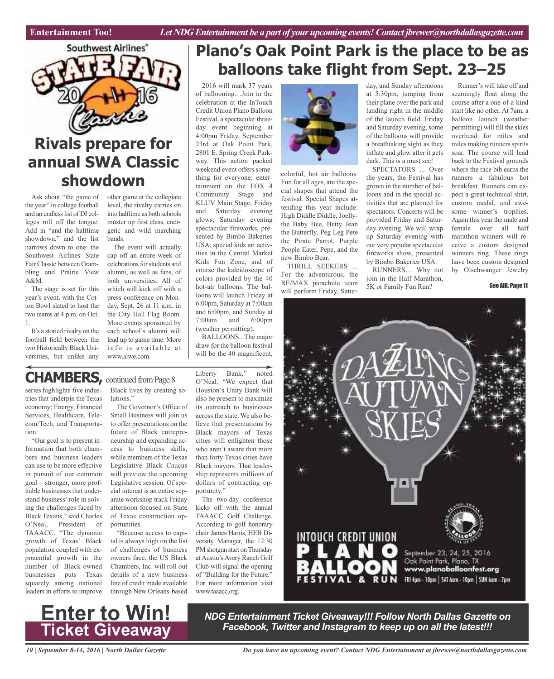

## **Rivals prepare for annual SWA Classic showdown**

the year" in college football and an endless list of DI colleges roll off the tongue. Add in "and the halftime showdown," and the list narrows down to one: the Southwest Airlines State Fair Classic between Grambling and Prairie View A&M.

The stage is set for this year's event, with the Cotton Bowl slated to host the two teams at 4 p.m. on Oct. 1.

It's a storied rivalry on the football field between the two Historically Black Universities, but unlike any

Ask about "the game of other game at the collegiate level, the rivalry carries on into halftime as both schools muster up first class, energetic and wild marching bands.

> The event will actually cap off an entire week of celebrations for students and alumni, as well as fans, of both universities. All of which will kick off with a press conference on Monday, Sept. 26 at 11 a.m. in the City Hall Flag Room. More events sponsored by each school's alumni will lead up to game time. More info is available at www.alwe.com.

## **Plano's Oak Point Park is the place to be as balloons take flight from Sept. 23–25**

2016 will mark 37 years of ballooning…Join in the celebration at the InTouch Credit Union Plano Balloon Festival, a spectacular threeday event beginning at 4:00pm Friday, September 23rd at Oak Point Park, 2801 E. Spring Creek Parkway. This action packed weekend event offers something for everyone; entertainment on the FOX 4 Community Stage and KLUV Main Stage, Friday and Saturday evening glows, Saturday evening spectacular fireworks, presented by Bimbo Bakeries USA, special kids art activities in the Central Market Kids Fun Zone, and of course the kaleidoscope of colors provided by the 40 hot-air balloons. The balloons will launch Friday at 6:00pm, Saturday at 7:00am and 6:00pm, and Sunday at 7:00am and 6:00pm (weather permitting).

BALLOONS...The major draw for the balloon festival will be the 40 magnificent,

## **CHAMBERS,** continued fromPage <sup>8</sup>

series highlights five industries that underpin the Texas economy; Energy, Financial Services, Healthcare, Telecom/Tech, and Transportation.

"Our goal is to present information that both chambers and business leaders can use to be more effective in pursuit of our common goal – stronger, more profitable businesses that understand business'role in solving the challenges faced by Black Texans," said Charles O'Neal, President of TAAACC. "The dynamic growth of Texas' Black population coupled with exponential growth in the number of Black-owned businesses puts Texas squarely among national leaders in efforts to improve

Black lives by creating solutions."

The Governor's Office of Small Business will join us to offer presentations on the future of Black entrepreneurship and expanding access to business skills, while members of the Texas Legislative Black Caucus will preview the upcoming Legislative session. Of special interest is an entire separate workshop track Friday afternoon focused on State of Texas construction opportunities.

"Because access to capital is always high on the list of challenges of business owners face, the US Black Chambers, Inc. will roll out details of a new business line of credit made available through New Orleans-based

Liberty Bank," noted O'Neal. "We expect that Houston's Unity Bank will also be present to maximize its outreach to businesses across the state. We also believe that presentations by Black mayors of Texas cities will enlighten those who aren't aware that more than forty Texas cities have Black mayors. That leadership represents millions of dollars of contracting opportunity."

The two-day conference kicks off with the annual TAAACC Golf Challenge. According to golf honorary chair James Harris, HEB Diversity Manager, the 12:30 PM shotgun start on Thursday at Austin's Avery Ranch Golf Club will signal the opening of "Building for the Future." For more information visit www.taaacc.org.



colorful, hot air balloons. Fun for all ages, are the special shapes that attend the festival. Special Shapes attending this year include: High Diddle Diddle, Joellythe Baby Bee, Betty Jean the Butterfly, Peg Leg Pete the Pirate Parrot, Purple People Eater, Pepe, and the new Bimbo Bear.

THRILL SEEKERS ... For the adventurous, the RE/MAX parachute team will perform Friday, Saturday, and Sunday afternoons at 5:30pm, jumping from their plane over the park and landing right in the middle of the launch field. Friday and Saturday evening, some of the balloons will provide a breathtaking sight as they inflate and glow after it gets dark. This is a must see!

SPECTATORS ... Over the years, the Festival has grown in the number of balloons and in the special activities that are planned for spectators. Concerts will be provided Friday and Saturday evening. We will wrap up Saturday evening with our very popular spectacular fireworks show, presented by Bimbo Bakeries USA.

RUNNERS… Why not join in the Half Marathon, 5K or Family Fun Run?

Runner's will take off and seemingly float along the course after a one-of-a-kind start like no other. At 7am, a balloon launch (weather permitting) will fill the skies overhead for miles and miles making runners spirits soar. The course will lead back to the Festival grounds where the race bib earns the runners a fabulous hot breakfast. Runners can expect a great technical shirt, custom medal, and awesome winner's trophies. Again this year the male and female over all half marathon winners will receive a custom designed winners ring. These rings have been custom designed by Olschwanger Jewelry

See AIR, Page 11





*NDG Entertainment Ticket Giveaway!!! Follow North Dallas Gazette on Facebook, Twitter and Instagram to keep up on all the latest!!!*

*10 | September 8-14, 2016 | North Dallas Gazette*

*Do you have an upcoming event? Contact NDG Entertainment at jbrewer@northdallasgazette.com*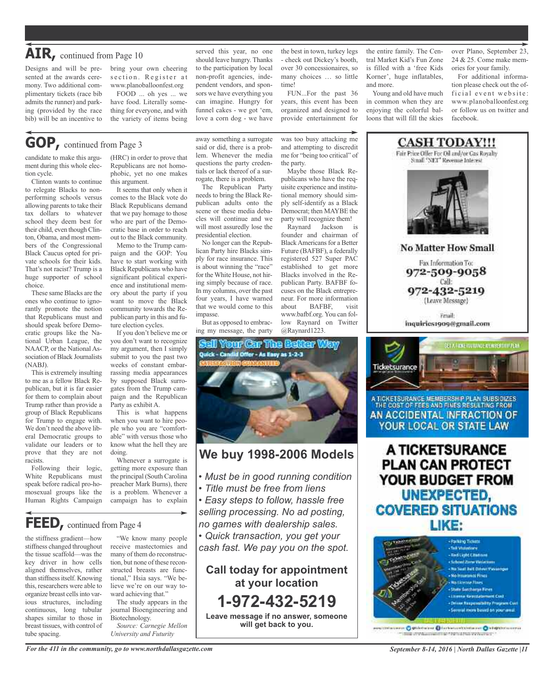Designs and will be presented at the awards ceremony. Two additional complimentary tickets (race bib admits the runner) and parking (provided by the race bib) will be an incentive to

bring your own cheering section. Register at www.planoballoonfest.org

FOOD ... oh yes ... we have food. Literally something for everyone, and with the variety of items being

## **GOP,** continued from Page <sup>3</sup>

candidate to make this argument during this whole election cycle.

Clinton wants to continue to relegate Blacks to nonperforming schools versus allowing parents to take their tax dollars to whatever school they deem best for their child, even though Clinton, Obama, and most members of the Congressional Black Caucus opted for private schools for their kids. That's not racist? Trump is a huge supporter of school choice.

These same Blacks are the ones who continue to ignorantly promote the notion that Republicans must and should speak before Democratic groups like the National Urban League, the NAACP, or the National Association of Black Journalists (NABJ).

This is extremely insulting to me as a fellow Black Republican, but it is far easier for them to complain about Trump rather than provide a group of Black Republicans for Trump to engage with. We don't need the above liberal Democratic groups to validate our leaders or to prove that they are not racists.

Following their logic, White Republicans must speak before radical pro-homosexual groups like the Human Rights Campaign

(HRC) in order to prove that Republicans are not homophobic, yet no one makes this argument.

It seems that only when it comes to the Black vote do Black Republicans demand that we pay homage to those who are part of the Democratic base in order to reach out to the Black community.

Memo to the Trump campaign and the GOP: You have to start working with Black Republicans who have significant political experience and institutional memory about the party if you want to move the Black community towards the Republican party in this and future election cycles.

If you don't believe me or you don't want to recognize my argument, then I simply submit to you the past two weeks of constant embarrassing media appearances by supposed Black surrogates from the Trump campaign and the Republican Party as exhibit A.

This is what happens when you want to hire people who you are "comfortable" with versus those who know what the hell they are doing.

Whenever a surrogate is getting more exposure than the principal (South Carolina preacher Mark Burns), there is a problem. Whenever a campaign has to explain

**FEED,** continued from Page <sup>4</sup>

the stiffness gradient—how stiffness changed throughout the tissue scaffold—was the key driver in how cells aligned themselves, rather than stiffness itself. Knowing this, researchers were able to organize breast cells into various structures, including continuous, long tubular shapes similar to those in breast tissues, with control of tube spacing.

"We know many people receive mastectomies and many of them do reconstruction, but none of these reconstructed breasts are functional," Hsia says. "We believe we're on our way toward achieving that." The study appears in the

journal Bioengineering and Biotechnology. *Source: Carnegie Mellon*

*University and Futurity*

served this year, no one should leave hungry. Thanks to the participation by local non-profit agencies, independent vendors, and sponsors we have everything you can imagine. Hungry for funnel cakes - we got 'em, love a corn dog - we have

away something a surrogate said or did, there is a problem. Whenever the media questions the party credentials or lack thereof of a surrogate, there is a problem. The Republican Party needs to bring the Black Republican adults onto the scene or these media debacles will continue and we will most assuredly lose the presidential election.

No longer can the Republican Party hire Blacks simply for race insurance. This is about winning the "race" for the White House, not hiring simply because of race. In my columns, over the past four years, I have warned that we would come to this

But as opposed to embracing my message, the party

impasse.

the best in town, turkey legs - check out Dickey's booth, over 30 concessionaires, so many choices … so little time!

FUN...For the past 36 years, this event has been organized and designed to provide entertainment for

was too busy attacking me and attempting to discredit me for "being too critical" of

Maybe those Black Republicans who have the requisite experience and institutional memory should simply self-identify as a Black Democrat; then MAYBE the party will recognize them! Raynard Jackson is founder and chairman of Black Americans for a Better Future (BAFBF), a federally registered 527 Super PAC established to get more Blacks involved in the Republican Party. BAFBF focuses on the Black entrepreneur. For more information about BAFBF, visit www.bafbf.org. You can follow Raynard on Twitter

the party.

the entire family. The Central Market Kid's Fun Zone is filled with a 'free Kids Korner', huge inflatables, and more.

Young and old have much in common when they are enjoying the colorful balloons that will fill the skies

over Plano, September 23, 24 & 25. Come make memories for your family.

For additional information please check out the official event website: www.planoballoonfest.org or follow us on twitter and facebook.



A TICKETSURANCE MEMBERSH P PLAN SUBSIDIZES THE COST OF FEES AND FINES RESULTING FROM AN ACCIDENTAL INFRACTION OF YOUR LOCAL OR STATE LAW

A TICKETSURANCE **PLAN CAN PROTECT** YOUR BUDGET FROM **UNEXPECTED, COVERED SITUATIONS** LIKE:



missionen O stileheiser O forbetantzinteiser O klispinnisserss mak unterstate mentionen mental state www.userat

*For the 411 in the community, go to www.northdallasgazette.com*

*September 8-14, 2016 | North Dallas Gazette |11*



@Raynard1223.

## **We buy 1998-2006 Models**

- *• Must be in good running condition*
- *• Title must be free from liens*
- *• Easy steps to follow, hassle free selling processing. No ad posting, no games with dealership sales.*

*• Quick transaction, you get your cash fast. We pay you on the spot.*

**Call today for appointment at your location 1-972-432-5219 Leave message if no answer, someone**

**will get back to you.**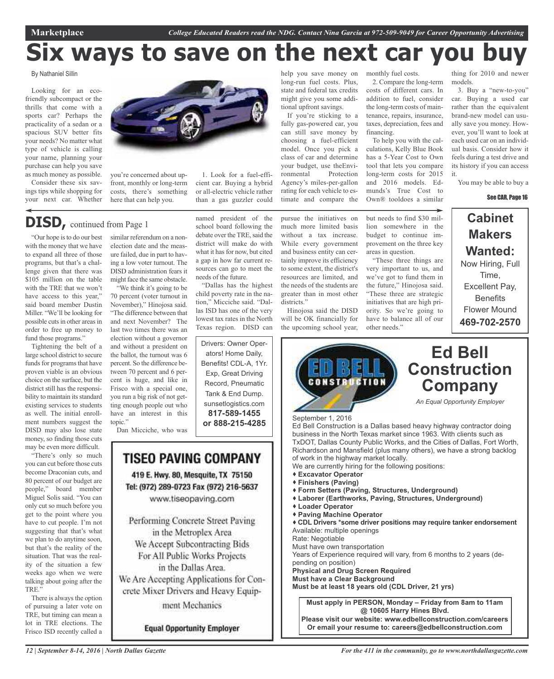# **Six ways to save on the next car you buy**

By Nathaniel Sillin

Looking for an ecofriendly subcompact or the thrills that come with a sports car? Perhaps the practicality of a sedan or a spacious SUV better fits your needs? No matter what type of vehicle is calling your name, planning your purchase can help you save as much money as possible.

Consider these six savings tips while shopping for your next car. Whether you're concerned about upfront, monthly or long-term costs, there's something

## **DISD,** continued from Page <sup>1</sup>

"Our hope is to do our best with the money that we have to expand all three of those programs, but that's a challenge given that there was \$105 million on the table with the TRE that we won't have access to this year," said board member Dustin Miller. "We'll be looking for possible cuts in other areas in order to free up money to fund those programs."

Tightening the belt of a large school district to secure funds for programs that have proven viable is an obvious choice on the surface, but the district still has the responsibility to maintain its standard existing services to students as well. The initial enrollment numbers suggest the DISD may also lose state money, so finding those cuts may be even more difficult.

topic."

Dan Micciche, who was

"There's only so much you can cut before those cuts become Draconian cuts, and 80 percent of our budget are people," board member Miguel Solis said. "You can only cut so much before you get to the point where you have to cut people. I'm not suggesting that that's what we plan to do anytime soon, but that's the reality of the situation. That was the reality of the situation a few weeks ago when we were talking about going after the TRE."

There is always the option of pursuing a later vote on TRE, but timing can mean a lot in TRE elections. The Frisco ISD recently called a



here that can help you.

similar referendum on a nonelection date and the measure failed, due in part to having a low voter turnout. The DISD administration fears it might face the same obstacle. "We think it's going to be 70 percent (voter turnout in November)," Hinojosa said. "The difference between that and next November? The last two times there was an election without a governor and without a president on the ballot, the turnout was 6 percent. So the difference between 70 percent and 6 percent is huge, and like in Frisco with a special one, you run a big risk of not getting enough people out who have an interest in this

1. Look for a fuel-efficient car. Buying a hybrid or all-electric vehicle rather than a gas guzzler could

named president of the school board following the debate over the TRE, said the district will make do with what it has for now, but cited a gap in how far current resources can go to meet the needs of the future.

"Dallas has the highest child poverty rate in the nation," Micciche said. "Dallas ISD has one of the very lowest tax rates in the North Texas region. DISD can

Drivers: Owner Operators! Home Daily, Benefits! CDL-A, 1Yr. Exp, Great Driving Record, Pneumatic Tank & End Dump. sunsetlogistics.com **817-589-1455**

TISEO PAVING COMPANY 419 E. Hwy. 80, Mesquite, TX 75150 Tel: (972) 289-0723 Fax (972) 216-5637 www.tiseopaving.com

Performing Concrete Street Paving in the Metroplex Area We Accept Subcontracting Bids For All Public Works Projects in the Dallas Area. We Are Accepting Applications for Concrete Mixer Drivers and Heavy Equipment Mechanics

**Equal Opportunity Employer** 

help you save money on long-run fuel costs. Plus, state and federal tax credits might give you some additional upfront savings.

If you're sticking to a fully gas-powered car, you can still save money by choosing a fuel-efficient model. Once you pick a class of car and determine your budget, use theEnvironmental Protection Agency's miles-per-gallon rating for each vehicle to estimate and compare the

pursue the initiatives on much more limited basis without a tax increase. While every government and business entity can certainly improve its efficiency to some extent, the district's resources are limited, and the needs of the students are greater than in most other districts<sup>"</sup>

Hinojosa said the DISD will be OK financially for the upcoming school year,



2. Compare the long-term costs of different cars. In addition to fuel, consider the long-term costs of maintenance, repairs, insurance, taxes, depreciation, fees and financing.

monthly fuel costs.

To help you with the calculations, Kelly Blue Book has a 5-Year Cost to Own tool that lets you compare long-term costs for 2015 and 2016 models. Edmunds's True Cost to Own® tooldoes a similar

but needs to find \$30 million somewhere in the budget to continue improvement on the three key

"These three things are very important to us, and we've got to fund them in the future," Hinojosa said. "These three are strategic initiatives that are high priority. So we're going to have to balance all of our

areas in question.

other needs."

models. 3. Buy a "new-to-you" car. Buying a used car rather than the equivalent brand-new model can usu-

ally save you money. However, you'll want to look at each used car on an individual basis. Consider how it feels during a test drive and its history if you can access it.

thing for 2010 and newer

You may be able to buy a

See CAR, Page 16

**Cabinet Makers Wanted:** Now Hiring, Full Time, Excellent Pay, **Benefits** Flower Mound **469-702-2570**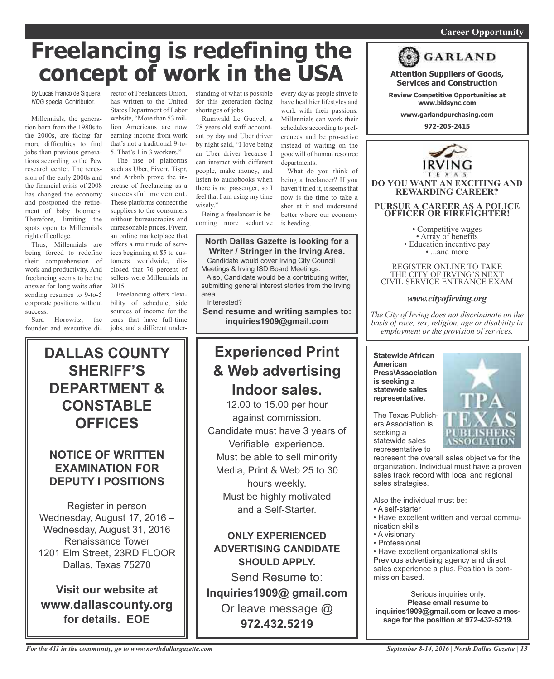## *On a quest for qualified candidates? Contact Nina Garcia at 972-509-9049* **Career Opportunity**

# **Freelancing is redefining the concept of work in the USA**

By Lucas Franco de Siqueira *NDG* special Contributor.

Millennials, the generation born from the 1980s to the 2000s, are facing far more difficulties to find jobs than previous generations according to the Pew research center. The recession of the early 2000s and the financial crisis of 2008 has changed the economy and postponed the retirement of baby boomers. Therefore, limiting the spots open to Millennials right off college.

Thus, Millennials are being forced to redefine their comprehension of work and productivity. And freelancing seems to be the answer for long waits after sending resumes to 9-to-5 corporate positions without success.

Sara Horowitz, the founder and executive di-

**DALLAS COUNTY**

**SHERIFF'S**

**DEPARTMENT &**

**CONSTABLE**

**OFFICES**

**NOTICE OF WRITTEN EXAMINATION FOR DEPUTY I POSITIONS**

Register in person Wednesday, August 17, 2016 – Wednesday, August 31, 2016 Renaissance Tower 1201 Elm Street, 23RD FLOOR Dallas, Texas 75270

**Visit our website at**

**www.dallascounty.org for details. EOE**

rector of Freelancers Union, has written to the United States Department of Labor website, "More than 53 million Americans are now earning income from work that's not a traditional 9-to-5. That's 1 in 3 workers."

The rise of platforms such as Uber, Fiverr, Tispr, and Airbnb prove the increase of freelancing as a successful movement. These platforms connect the suppliers to the consumers without bureaucracies and unreasonable prices. Fiverr, an online marketplace that offers a multitude of services beginning at \$5 to customers worldwide, disclosed that 76 percent of sellers were Millennials in 2015.

Freelancing offers flexibility of schedule, side sources of income for the ones that have full-time jobs, and a different understanding of what is possible for this generation facing shortages of jobs.

Rumwald Le Guevel, a 28 years old staff accountant by day and Uber driver by night said, "I love being an Uber driver because I can interact with different people, make money, and listen to audiobooks when there is no passenger, so I feel that I am using my time wisely."

Being a freelancer is becoming more seductive

## **North Dallas Gazette is looking for a Writer / Stringer in the Irving Area.**

Candidate would cover Irving City Council Meetings & Irving ISD Board Meetings.

Also, Candidate would be a contributing writer, submitting general interest stories from the Irving area.

Interested?

**Send resume and writing samples to: inquiries1909@gmail.com**

## **Experienced Print & Web advertising Indoor sales.**

12.00 to 15.00 per hour against commission. Candidate must have 3 years of Verifiable experience. Must be able to sell minority Media, Print & Web 25 to 30 hours weekly. Must be highly motivated and a Self-Starter.

**ONLY EXPERIENCED ADVERTISING CANDIDATE SHOULD APPLY.** Send Resume to:

**Inquiries1909@ gmail.com** Or leave message @ **972.432.5219**

every day as people strive to have healthier lifestyles and work with their passions. Millennials can work their schedules according to preferences and be pro-active instead of waiting on the goodwill of human resource departments.

What do you think of being a freelancer? If you haven't tried it, it seems that now is the time to take a shot at it and understand better where our economy is heading.



**Attention Suppliers of Goods, Services and Construction**

**Review Competitive Opportunities at www.bidsync.com**

**www.garlandpurchasing.com**

**972-205-2415**



**OFFICER OR FIREFIGHTER!**

• Competitive wages<br>• Array of benefits<br>• Education incentive pay<br>• ...and more

REGISTER ONLINE TO TAKE THE CITY OF IRVING'S NEXT CIVIL SERVICE ENTRANCE EXAM

## *www.cityofirving.org*

*The City of Irving does not discriminate on the basis of race, sex, religion, age or disability in employment or the provision of services.*

**Statewide African American Press\Association is seeking a statewide sales representative.**



The Texas Publishers Association is seeking a statewide sales representative to

represent the overall sales objective for the organization. Individual must have a proven sales track record with local and regional sales strategies.

Also the individual must be:

- A self-starter
- Have excellent written and verbal communication skills
- A visionary
- Professional

• Have excellent organizational skills Previous advertising agency and direct sales experience a plus. Position is commission based.

Serious inquiries only. **Please email resume to inquiries1909@gmail.com or leave a message for the position at 972-432-5219.**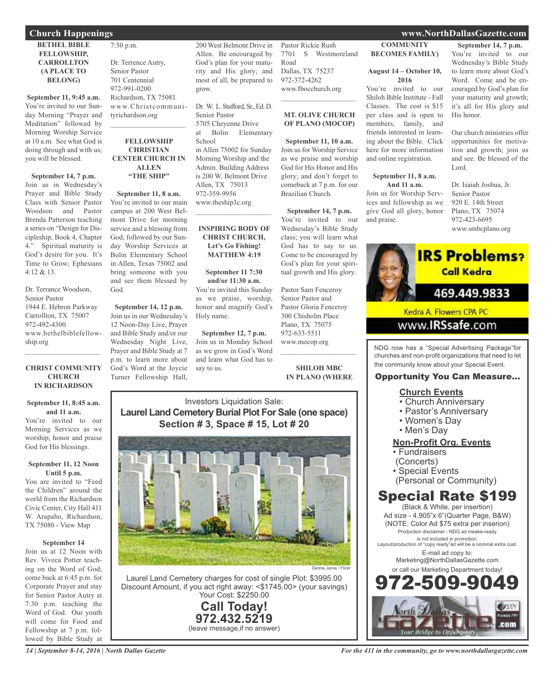## **Church Happenings www.NorthDallasGazette.com**

### **BETHEL BIBLE FELLOWSHIP, CARROLLTON (A PLACE TO BELONG)**

**September 11, 9:45 a.m.** You're invited to our Sunday Morning "Prayer and Meditation" followed by Morning Worship Service at 10 a.m. See what God is doing through and with us; you will be blessed.

**September 14, 7 p.m.** Join us in Wednesday's Prayer and Bible Study Class with Senior Pastor Woodson and Pastor Brenda Patterson teaching a series on "Design for Discipleship, Book 4, Chapter 4." Spiritual maturity is God's desire for you. It's Time to Grow; Ephesians 4:12 & 13.

Dr. Terrance Woodson, Senior Pastor 1944 E. Hebron Parkway Carrollton, TX 75007 972-492-4300 www.bethelbiblefellowship.org

## **CHRIST COMMUNITY CHURCH IN RICHARDSON**

 $\mathcal{L}_\mathcal{L}$  , where  $\mathcal{L}_\mathcal{L}$  is the set of the set of the set of the set of the set of the set of the set of the set of the set of the set of the set of the set of the set of the set of the set of the set of the

### **September 11, 8:45 a.m. and 11 a.m.**

You're invited to our Morning Services as we worship, honor and praise God for His blessings.

### **September 11, 12 Noon Until 5 p.m.**

You are invited to "Feed the Children" around the world from the Richardson Civic Center, City Hall 411 W. Arapaho, Richardson, TX 75080 - View Map

### **September 14**

Join us at 12 Noon with Rev. Viveca Potter teaching on the Word of God; come back at 6:45 p.m. for Corporate Prayer and stay for Senior Pastor Autry at 7:30 p.m. teaching the Word of God. Our youth will come for Food and Fellowship at 7 p.m. followed by Bible Study at

7:30 p.m. Dr. Terrence Autry, Senior Pastor 701 Centennial 972-991-0200 Richardson, TX 75081 www.Christcommunityrichardson.org

### **FELLOWSHIP CHRISTIAN CENTER CHURCH IN ALLEN "THE SHIP"**

 $\mathcal{L}_\text{max}$  , where  $\mathcal{L}_\text{max}$  , we have the set of  $\mathcal{L}_\text{max}$ 

**September 11, 8 a.m.** You're invited to our main campus at 200 West Belmont Drive for morning service and a blessing from God; followed by our Sunday Worship Services at Bolin Elementary School in Allen, Texas 75002 and bring someone with you and see them blessed by God.

**September 14, 12 p.m.** Join us in our Wednesday's 12 Noon-Day Live, Prayer and Bible Study and/or our Wednesday Night Live, Prayer and Bible Study at 7 p.m. to learn more about God's Word at the Joycie Turner Fellowship Hall,

200 West Belmont Drive in Allen. Be encouraged by God's plan for your maturity and His glory; and most of all, be prepared to grow.

Dr. W. L. Stafford, Sr., Ed. D. Senior Pastor 5705 Cheyenne Drive at Bolin Elementary School in Allen 75002 for Sunday Morning Worship and the Admin. Building Address is 200 W. Belmont Drive Allen, TX 75013 972-359-9956 www.theship3c.org  $\mathcal{L}_\mathcal{L}$  , where  $\mathcal{L}_\mathcal{L}$  , we have the set of the set of the set of the set of the set of the set of the set of the set of the set of the set of the set of the set of the set of the set of the set of the set

### **INSPIRING BODY OF CHRIST CHURCH, Let's Go Fishing! MATTHEW 4:19**

**September 11 7:30 and/or 11:30 a.m.** You're invited this Sunday as we praise, worship, honor and magnify God's Holy name.

**September 12, 7 p.m.** Join us in Monday School as we grow in God's Word and learn what God has to say to us.

Pastor Rickie Rush 7701 S Westmoreland Road Dallas, TX 75237 972-372-4262 www.Ibocchurch.org  $\mathcal{L}_\mathcal{L}$  , where  $\mathcal{L}_\mathcal{L}$  is the set of the set of the set of the set of the set of the set of the set of the set of the set of the set of the set of the set of the set of the set of the set of the set of the

## **MT. OLIVE CHURCH OF PLANO (MOCOP)**

**September 11, 10 a.m.** Join us for Worship Service as we praise and worship God for His Honor and His glory; and don't forget to comeback at 7 p.m. for our Brazilian Church.

**September 14, 7 p.m.** You're invited to our Wednesday's Bible Study class; you will learn what God has to say to us. Come to be encouraged by God's plan for your spiritual growth and His glory.

Pastor Sam Fenceroy Senior Pastor and Pastor Gloria Fenceroy 300 Chisholm Place Plano, TX 75075 972-633-5511 www.mocop.org

**SHILOH MBC IN PLANO (WHERE**

 $\mathcal{L}_\mathcal{L}$  , where  $\mathcal{L}_\mathcal{L}$  is the set of the set of the set of the set of the set of the set of the set of the set of the set of the set of the set of the set of the set of the set of the set of the set of the

Investors Liquidation Sale: **Laurel Land Cemetery Burial Plot For Sale (one space) Section # 3, Space # 15, Lot # 20**



Laurel Land Cemetery charges for cost of single Plot: \$3995.00 Discount Amount, if you act right away: <\$1745.00> (your savings) Your Cost: \$2250.00

> **Call Today! 972.432.5219** (leave message,if no answer)

**COMMUNITY BECOMES FAMILY)**

### **August 14 – October 10, 2016**

You're invited to our Shiloh Bible Institute - Fall Classes. The cost is \$15 per class and is open to members, family, and friends interested in learning about the Bible. Click here for more information and online registration.

### **September 11, 8 a.m. And 11 a.m.**

Join us for Worship Services and fellowship as we give God all glory, honor and praise.

## **September 14, 7 p.m.**

You're invited to our Wednesday's Bible Study to learn more about God's Word. Come and be encouraged by God's plan for your maturity and growth; it's all for His glory and His honor.

Our church ministries offer opportunities for motivation and growth; join us and see. Be blessed of the Lord.

Dr. Isaiah Joshua, Jr. Senior Pastor 920 E. 14th Street Plano, TX 75074 972-423-6695 www.smbcplano.org



Kedra A. Flowers CPA PC

## www.**IRSsafe**.com

NDG now has a "Special Advertising Package"for churches and non-profit organizations that need to let the community know about your Special Event.

## Opportunity You Can Measure...

## **Church Events**

- Church Anniversary
- Pastor's Anniversary
- Women's Day
- Men's Day

## **Non-Profit Org. Events**

- Fundraisers
- (Concerts)
- Special Events
- (Personal or Community)

## Special Rate \$199

(Black & White, per insertion) Ad size - 4.905"x 6"(Quarter Page, B&W) (NOTE: Color Ad \$75 extra per inserion) Production disclaimer - NDG ad meake-ready is not included in promotion. Layout/production of "copy ready"ad will be a nominal extra cost. E-mail ad copy to: Marketing@NorthDallasGazette.com or call our Marketing Department today! 972-509-9049

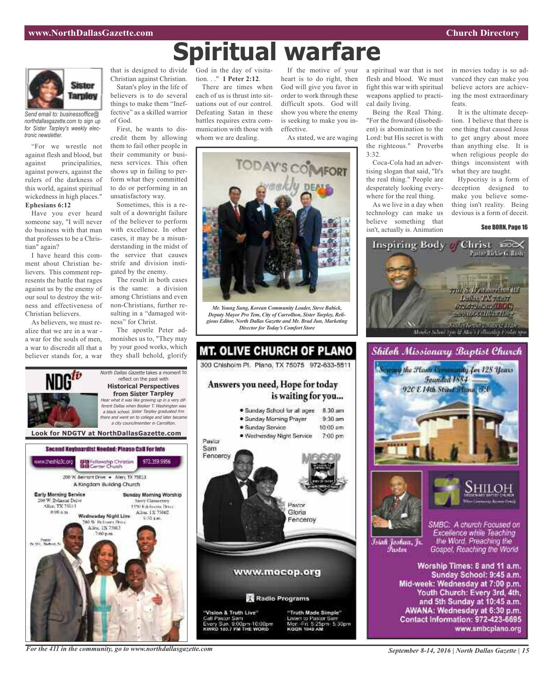

*Send email to: businessoffice@ northdallasgazette.com to sign up for Sister Tarpley's weekly electronic newsletter.*

"For we wrestle not against flesh and blood, but against principalities, against powers, against the rulers of the darkness of this world, against spiritual wickedness in high places." **Ephesians 6:12**

Have you ever heard someone say, "I will never do business with that man that professes to be a Christian" again?

I have heard this comment about Christian believers. This comment represents the battle that rages against us by the enemy of our soul to destroy the witness and effectiveness of Christian believers.

As believers, we must realize that we are in a war a war for the souls of men, a war to discredit all that a believer stands for, a war

ww.theship3c.org

Early Morning Service

Alice TX 75013

 $0.004m$ 

0 W. Belmunt Drive

Christian against Christian. Satan's ploy in the life of believers is to do several things to make them "Ineffective" as a skilled warrior of God.

First, he wants to discredit them by allowing them to fail other people in their community or business services. This often shows up in failing to perform what they committed to do or performing in an unsatisfactory way.

Sometimes, this is a result of a downright failure of the believer to perform with excellence. In other cases, it may be a misunderstanding in the midst of the service that causes strife and division instigated by the enemy.

The result in both cases is the same: a division among Christians and even non-Christians, further resulting in a "damaged witness" for Christ.

The apostle Peter admonishes us to, "They may by your good works, which they shall behold, glorify

reflect on the past with **Historical Perspectives from Sister Tarpley**

<sup>a</sup> city councilmember in Carrollton.

972.359.9956

**Nory Demectors** 

1450 Ethnologies Drug-

Allen, 1X 75002

Second Keyboardist Needed: Please CaB For Info

DE Fellowship Christian<br>BIB Center Church

200 W. Bernsht Drive . - Allen, TX 75013 A Kingdom Building Church

Wadnasday Night Live

**DO W. Retroem Days** 

Allen, TX 75013

that is designed to divide God in the day of visitation. . ." **1 Peter 2:12**.

> There are times when each of us is thrust into situations out of our control. Defeating Satan in these battles requires extra communication with those with whom we are dealing.

If the motive of your heart is to do right, then God will give you favor in order to work through these difficult spots. God will show you where the enemy is seeking to make you ineffective.

As stated, we are waging



**Spiritual warfare**

*Mr. Young Sung, Korean Community Leader, Steve Babick, Deputy Mayor Pro Tem, City of Carrollton, Sister Tarpley, Religious Editor, North Dallas Gazette and Mr. Brad Jun, Marketing Director for Today's Comfort Store*



a spiritual war that is not flesh and blood. We must fight this war with spiritual weapons applied to practical daily living.

Being the Real Thing. "For the froward (disobedient) is abomination to the Lord: but His secret is with the righteous." Proverbs 3:32.

Coca-Cola had an advertising slogan that said, "It's the real thing." People are desperately looking everywhere for the real thing.

As we live in a day when technology can make us believe something that isn't, actually is. Animation

in movies today is so advanced they can make you believe actors are achieving the most extraordinary feats.

It is the ultimate deception. I believe that there is one thing that caused Jesus to get angry about more than anything else. It is when religious people do things inconsistent with what they are taught.

Hypocrisy is a form of deception designed to make you believe something isn't reality. Being devious is a form of deceit.

### See BORN, Page 16









Islah Joshua, Jr. Fustor

SMBC: A church Focused on Excellence while Teaching the Word. Preaching the Gospel, Reaching the World

Worship Times: 8 and 11 a.m. Sunday School: 9:45 a.m. Mid-week: Wednesday at 7:00 p.m. Youth Church: Every 3rd, 4th, and 5th Sunday at 10:45 a.m. AWANA: Wednesday at 6:30 p.m. Contact Information: 972-423-6695 www.smbcplano.org

*For the 411 in the community, go to www.northdallasgazette.com*